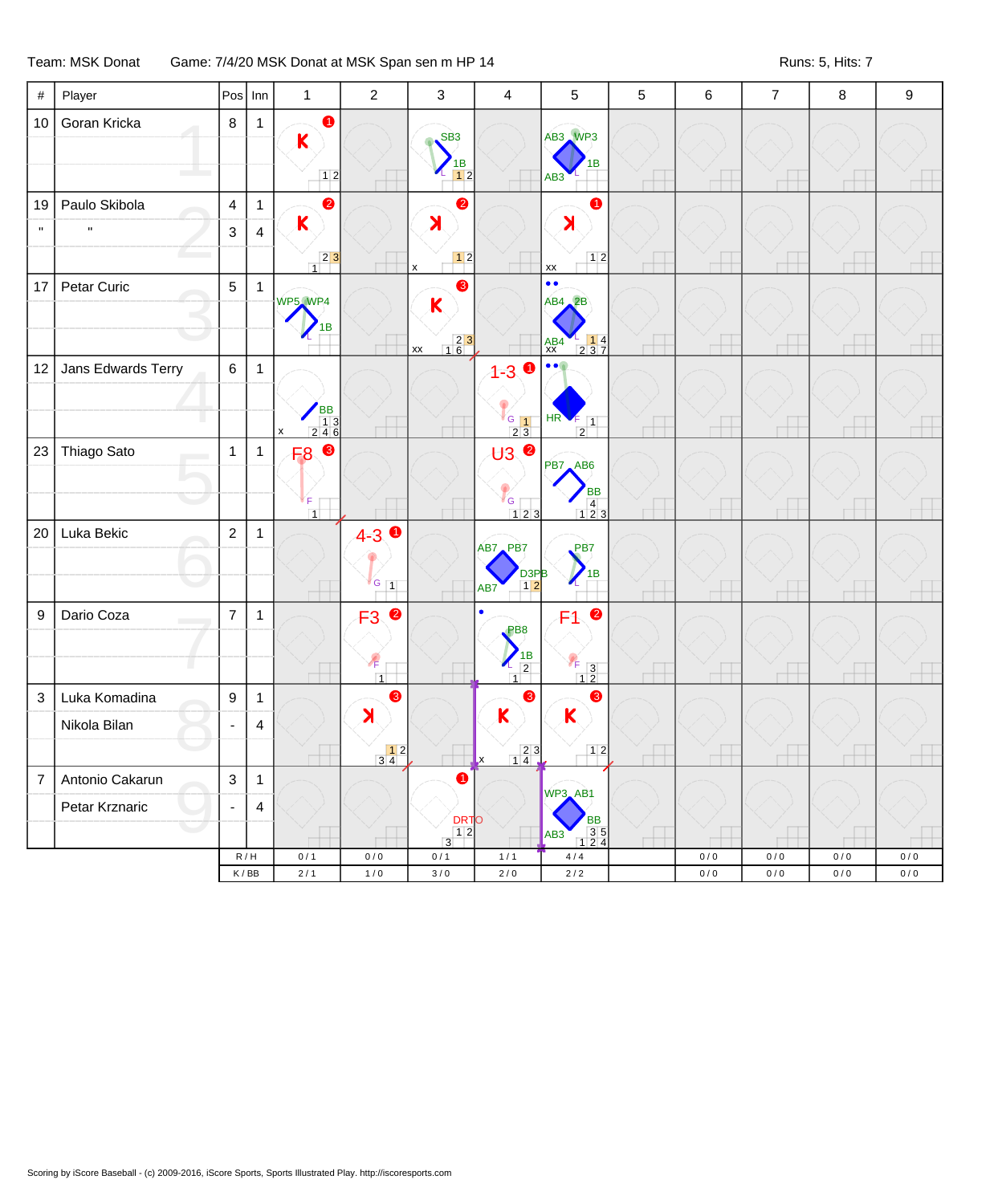## Team: MSK Donat Game: 7/4/20 MSK Donat at MSK Span sen m HP 14 Team: MSK Donat at Runs: 5, Hits: 7

| $\#$           | Player             | Pos                       | Inn                                | $\mathbf{1}$                                                  | $\sqrt{2}$                              | 3                                                                                                             | 4                                                                                   | 5                                                                                                           | $\mathbf 5$ | 6            | $\overline{7}$   | 8          | 9          |
|----------------|--------------------|---------------------------|------------------------------------|---------------------------------------------------------------|-----------------------------------------|---------------------------------------------------------------------------------------------------------------|-------------------------------------------------------------------------------------|-------------------------------------------------------------------------------------------------------------|-------------|--------------|------------------|------------|------------|
| 10             | Goran Kricka       | $\bf 8$                   | $\mathbf{1}$                       | 0<br>$\overline{\mathsf{K}}$<br>$12$                          |                                         | SB <sub>3</sub><br>1В<br>12                                                                                   |                                                                                     | AB3 WP3<br>1В<br>AB <sub>3</sub>                                                                            |             |              |                  |            |            |
| 19             | Paulo Skibola      | $\overline{4}$            | $\mathbf{1}$                       | $\bullet$                                                     |                                         | 2                                                                                                             |                                                                                     | 0                                                                                                           |             |              |                  |            |            |
| $\mathbf{u}$   | H                  | $\mathbf{3}$              | $\overline{\mathbf{4}}$            | $\mathsf K$<br>$23$                                           |                                         | $\blacktriangleright$                                                                                         |                                                                                     | $\lambda$<br>12                                                                                             |             |              |                  |            |            |
| 17             | Petar Curic        | $\sqrt{5}$                | $\mathbf{1}$                       | $\overline{1}$<br>WP5 WP4<br>1В                               |                                         | $\pmb{\mathsf{x}}$<br>❸<br>$\mathsf K$<br>$\begin{array}{ c c }\n\hline\n2 & 3 \\ \hline\n1 & 6\n\end{array}$ |                                                                                     | XX<br>$\bullet$<br>$AB4$ $2B$<br>$\begin{array}{ c c c }\n1 & 4 \\ 2 & 3 & 7\n\end{array}$<br>$AB4$<br>$XX$ |             |              |                  |            |            |
| 12             | Jans Edwards Terry | $\,6\,$                   | $\mathbf{1}$                       | $\begin{array}{c} \n\sqrt{BB} \\ 13 \\ 246\n\end{array}$<br>X |                                         | XX                                                                                                            | $1 - 3$ 0<br>$\overline{\phantom{a}}$ G $\overline{\phantom{a}}$<br>$\overline{2}3$ | HR <sup>'</sup><br>$\boxed{1}$<br>$\overline{2}$                                                            |             |              |                  |            |            |
| 23             | Thiago Sato        | $\mathbf{1}$              | $\mathbf{1}$                       | $\bullet$<br>F <sub>8</sub><br>ĬΕ.<br>$\overline{1}$          |                                         |                                                                                                               | <b>U3 ◎</b><br>V <sub>G</sub><br>$123$                                              | PB7 AB6<br><b>BB</b><br>$\overline{4}$<br>$123$                                                             |             |              |                  |            |            |
| 20             | Luka Bekic         | $\sqrt{2}$                | $\mathbf{1}$                       |                                                               | $4 - 3$<br>$\sqrt{G}$ 1                 |                                                                                                               | AB7 PB7<br>D <sub>3PB</sub><br>12<br>AB7                                            | PB7<br>1B                                                                                                   |             |              |                  |            |            |
| 9              | Dario Coza         | $\overline{7}$            | $\mathbf{1}$                       |                                                               | $\bullet$<br>F3<br>$\sqrt{F}$           |                                                                                                               | $\bullet$<br>PB <sub>8</sub><br>$\frac{1}{2}$<br>$\sqrt{2}$                         | $\bullet$<br>F1<br>$V_{\mathsf{F}}$<br>$\begin{array}{c} 7 \ 1 \ 2 \end{array}$                             |             |              |                  |            |            |
| $\sqrt{3}$     | Luka Komadina      | $\boldsymbol{9}$          | $\mathbf{1}$                       |                                                               | $\overline{1}$<br>❸                     |                                                                                                               | $\overline{1}$<br>❸                                                                 | ❸                                                                                                           |             |              |                  |            |            |
|                | Nikola Bilan       |                           | $\overline{4}$                     |                                                               | $\blacktriangleright$                   |                                                                                                               | $\mathbf K$                                                                         | $\mathsf{K}$<br>12                                                                                          |             |              |                  |            |            |
| $\overline{7}$ | Antonio Cakarun    | $\ensuremath{\mathsf{3}}$ | $\mathbf{1}$                       |                                                               | $\begin{array}{c} 12 \\ 34 \end{array}$ | ➊                                                                                                             | $\frac{2}{14}$<br>Lх                                                                |                                                                                                             |             |              |                  |            |            |
|                | Petar Krznaric     | $\overline{\phantom{a}}$  | 4                                  |                                                               |                                         | <b>DRTO</b>                                                                                                   |                                                                                     | WP3_AB1<br><b>BB</b>                                                                                        |             |              |                  |            |            |
|                |                    |                           |                                    |                                                               |                                         | $\boxed{1}$<br>$\overline{3}$                                                                                 |                                                                                     | $\begin{array}{r} 35 \\ 124 \end{array}$<br>AB3                                                             |             |              |                  |            |            |
|                |                    |                           | R/H<br>$\mathsf K\,/\,\mathsf{BB}$ | 0/1<br>$2/1$                                                  | 0/0<br>1/0                              | 0/1<br>$3/0$                                                                                                  | $1/1$<br>$2\,/\,0$                                                                  | 4/4<br>$2/2$                                                                                                |             | 0/0<br>$0/0$ | 0/0<br>$0\,/\,0$ | 0/0<br>0/0 | 0/0<br>0/0 |
|                |                    |                           |                                    |                                                               |                                         |                                                                                                               |                                                                                     |                                                                                                             |             |              |                  |            |            |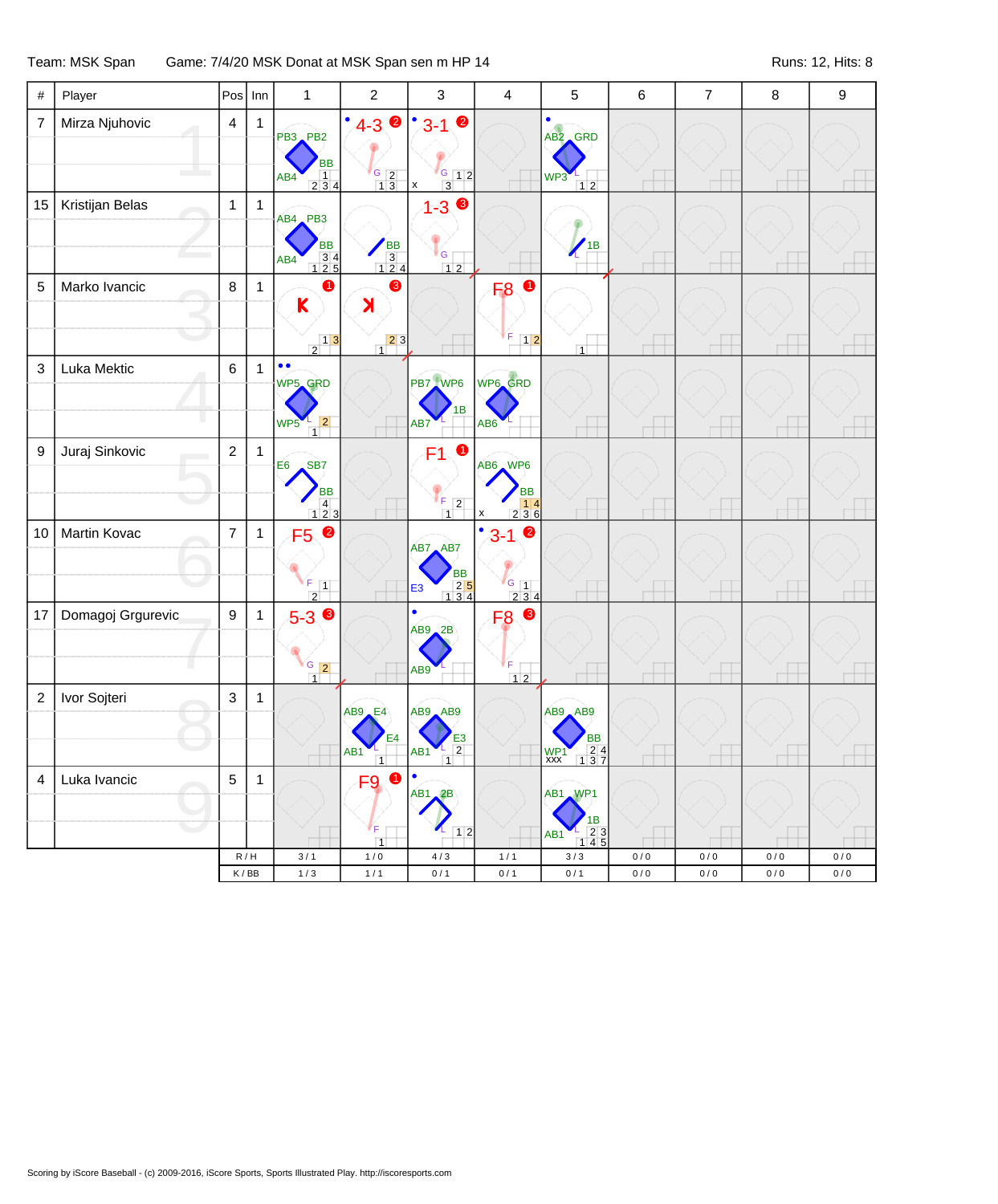## Team: MSK Span Game: 7/4/20 MSK Donat at MSK Span sen m HP 14 Runs: 12, Hits: 8

| $\#$           | Player            | Pos              | Inn          | $\mathbf{1}$                                                                                               | $\overline{c}$                                            | $\mathsf 3$                                                                   | 4                                                                                                              | $\sqrt{5}$                                                                  | 6         | $\overline{7}$ | 8         | $\boldsymbol{9}$ |
|----------------|-------------------|------------------|--------------|------------------------------------------------------------------------------------------------------------|-----------------------------------------------------------|-------------------------------------------------------------------------------|----------------------------------------------------------------------------------------------------------------|-----------------------------------------------------------------------------|-----------|----------------|-----------|------------------|
| $\overline{7}$ | Mirza Njuhovic    | $\overline{4}$   | $\mathbf{1}$ | PB3 PB2<br><b>BB</b><br>$\overline{1}$<br>AB4<br>234                                                       | $4 - 30$<br>$\frac{G}{1}$ $\frac{2}{3}$                   | $\bullet$<br>$3 - 1$<br>$G$ 12<br>$\overline{3}$<br>$\boldsymbol{\mathsf{x}}$ |                                                                                                                | $\bullet$<br>AB2 GRD<br>WP3<br>$12$                                         |           |                |           |                  |
| 15             | Kristijan Belas   | $\mathbf{1}$     | $\mathbf{1}$ | AB4 PB3<br><b>BB</b><br>$\begin{array}{r} 34 \\ 125 \end{array}$<br>AB4                                    | BB<br>3<br>124                                            | $1 - 3$<br><sup>i</sup> G<br>$12$                                             |                                                                                                                | 1B                                                                          |           |                |           |                  |
| 5              | Marko Ivancic     | 8                | $\mathbf{1}$ | ➊<br>$\mathsf K$<br>$\begin{array}{c c} & 1 & 3 \\ \hline 2 & & \end{array}$                               | ❸<br>X<br>$\begin{array}{c c} 2 & 3 \end{array}$          |                                                                               | $\bullet$<br>F <sub>8</sub><br>F<br>$12$                                                                       | $\overline{1}$                                                              |           |                |           |                  |
| 3              | Luka Mektic       | $\,6\,$          | $\mathbf{1}$ | $\bullet$<br>WP5 GRD<br> 2 <br>WP5<br>$\mathbf{1}$                                                         |                                                           | PB7 WP6<br>1B<br>AB7                                                          | WP6_GRD<br>AB <sub>6</sub>                                                                                     |                                                                             |           |                |           |                  |
| 9              | Juraj Sinkovic    | $\overline{2}$   | $\mathbf{1}$ | E <sub>6</sub><br>SB <sub>7</sub><br><b>BB</b><br>$\begin{array}{ c c c }\n\hline\n4 & 2 & 3\n\end{array}$ |                                                           | $\bullet$<br>F1<br>$F$ 2<br>$\overline{1}$                                    | AB6 WP6<br>BB<br>$\begin{array}{c c} & 14 \\ 236 \end{array}$<br>x                                             |                                                                             |           |                |           |                  |
| 10             | Martin Kovac      | $\overline{7}$   | $\mathbf{1}$ | $\bullet$<br>F5<br>F<br>$\overline{1}$<br>$\overline{2}$                                                   |                                                           | AB7 AB7<br>ВB<br>$\begin{array}{r} 25 \\ 134 \end{array}$<br>E <sub>3</sub>   | $\bullet$<br>$3 - 1$<br>$\begin{array}{c} \begin{array}{c} \text{G} \\ 1 \\ 2 \ 3 \ 4 \end{array} \end{array}$ |                                                                             |           |                |           |                  |
| 17             | Domagoj Grgurevic | $\boldsymbol{9}$ | $\mathbf{1}$ | $5-3$ $\circ$<br>$\frac{G}{1}$ 2                                                                           |                                                           | $\bullet$<br>$AB9$ $2B$<br>AB9                                                | F <sub>8</sub> <sup>®</sup><br>F<br>$12$                                                                       |                                                                             |           |                |           |                  |
| $\overline{c}$ | Ivor Sojteri      | $\mathfrak{Z}$   | $\mathbf{1}$ |                                                                                                            | $AB9$ <sub><math>E4</math></sub><br>E4<br>AB <sub>1</sub> | AB9 AB9<br>E3<br>$\overline{2}$<br>AB <sub>1</sub>                            |                                                                                                                | AB9 AB9<br>BB<br>$\begin{array}{r} 24 \\ 137 \end{array}$<br>$WP1$<br>$XXX$ |           |                |           |                  |
| $\overline{4}$ | Luka Ivancic      | $\sqrt{5}$       | $\mathbf{1}$ |                                                                                                            | 0<br>F9<br>F<br>$\overline{1}$                            | $\bullet$<br>AB1<br>2B<br>12                                                  |                                                                                                                | AB1 WP1<br>1B<br>23<br>AB1<br>145                                           |           |                |           |                  |
|                |                   |                  | R/H          | $3/1$                                                                                                      | $1/0$                                                     | $4\,/\,3$                                                                     | $1/1$                                                                                                          | $3/3$                                                                       | $0/0$     | 0/0            | $0\,/\,0$ | 0/0              |
|                |                   |                  | K/BB         | $1/3$                                                                                                      | $1/1$                                                     | $0/1$                                                                         | $0/1$                                                                                                          | 0/1                                                                         | $0\,/\,0$ | $0\,/\,0$      | $0\,/\,0$ | $0/0$            |